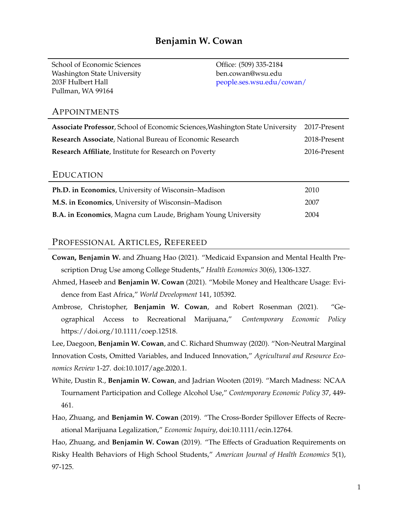School of Economic Sciences Office: (509) 335-2184 Washington State University ben.cowan@wsu.edu 203F Hulbert Hall [people.ses.wsu.edu/cowan/](https://people.ses.wsu.edu/cowan/) Pullman, WA 99164

### APPOINTMENTS

| Associate Professor, School of Economic Sciences, Washington State University 2017-Present |              |
|--------------------------------------------------------------------------------------------|--------------|
| <b>Research Associate, National Bureau of Economic Research</b>                            | 2018-Present |
| Research Affiliate, Institute for Research on Poverty                                      | 2016-Present |

## EDUCATION

| Ph.D. in Economics, University of Wisconsin–Madison          | 2010 |
|--------------------------------------------------------------|------|
| M.S. in Economics, University of Wisconsin–Madison           | 2007 |
| B.A. in Economics, Magna cum Laude, Brigham Young University | 2004 |

## PROFESSIONAL ARTICLES, REFEREED

- **Cowan, Benjamin W.** and Zhuang Hao (2021). "Medicaid Expansion and Mental Health Prescription Drug Use among College Students," *Health Economics* 30(6), 1306-1327.
- Ahmed, Haseeb and **Benjamin W. Cowan** (2021). "Mobile Money and Healthcare Usage: Evidence from East Africa," *World Development* 141, 105392.
- Ambrose, Christopher, **Benjamin W. Cowan**, and Robert Rosenman (2021). "Geographical Access to Recreational Marijuana," *Contemporary Economic Policy* https://doi.org/10.1111/coep.12518.

Lee, Daegoon, **Benjamin W. Cowan**, and C. Richard Shumway (2020). "Non-Neutral Marginal Innovation Costs, Omitted Variables, and Induced Innovation," *Agricultural and Resource Economics Review* 1-27. doi:10.1017/age.2020.1.

- White, Dustin R., **Benjamin W. Cowan**, and Jadrian Wooten (2019). "March Madness: NCAA Tournament Participation and College Alcohol Use," *Contemporary Economic Policy* 37, 449- 461.
- Hao, Zhuang, and **Benjamin W. Cowan** (2019). "The Cross-Border Spillover Effects of Recreational Marijuana Legalization," *Economic Inquiry*, doi:10.1111/ecin.12764.

Hao, Zhuang, and **Benjamin W. Cowan** (2019). "The Effects of Graduation Requirements on Risky Health Behaviors of High School Students," *American Journal of Health Economics* 5(1), 97-125.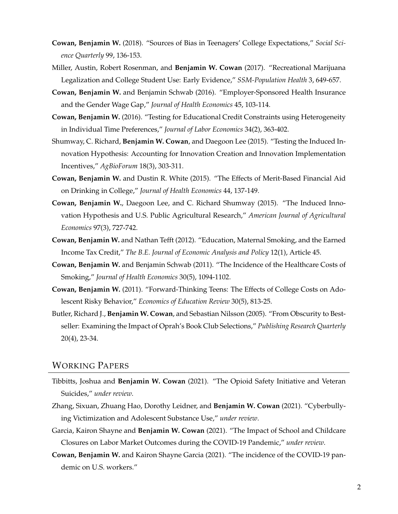- **Cowan, Benjamin W.** (2018). "Sources of Bias in Teenagers' College Expectations," *Social Science Quarterly* 99, 136-153.
- Miller, Austin, Robert Rosenman, and **Benjamin W. Cowan** (2017). "Recreational Marijuana Legalization and College Student Use: Early Evidence," *SSM-Population Health* 3, 649-657.
- **Cowan, Benjamin W.** and Benjamin Schwab (2016). "Employer-Sponsored Health Insurance and the Gender Wage Gap," *Journal of Health Economics* 45, 103-114.
- **Cowan, Benjamin W.** (2016). "Testing for Educational Credit Constraints using Heterogeneity in Individual Time Preferences," *Journal of Labor Economics* 34(2), 363-402.
- Shumway, C. Richard, **Benjamin W. Cowan**, and Daegoon Lee (2015). "Testing the Induced Innovation Hypothesis: Accounting for Innovation Creation and Innovation Implementation Incentives," *AgBioForum* 18(3), 303-311.
- **Cowan, Benjamin W.** and Dustin R. White (2015). "The Effects of Merit-Based Financial Aid on Drinking in College," *Journal of Health Economics* 44, 137-149.
- **Cowan, Benjamin W.**, Daegoon Lee, and C. Richard Shumway (2015). "The Induced Innovation Hypothesis and U.S. Public Agricultural Research," *American Journal of Agricultural Economics* 97(3), 727-742.
- **Cowan, Benjamin W.** and Nathan Tefft (2012). "Education, Maternal Smoking, and the Earned Income Tax Credit," *The B.E. Journal of Economic Analysis and Policy* 12(1), Article 45.
- **Cowan, Benjamin W.** and Benjamin Schwab (2011). "The Incidence of the Healthcare Costs of Smoking," *Journal of Health Economics* 30(5), 1094-1102.
- **Cowan, Benjamin W.** (2011). "Forward-Thinking Teens: The Effects of College Costs on Adolescent Risky Behavior," *Economics of Education Review* 30(5), 813-25.
- Butler, Richard J., **Benjamin W. Cowan**, and Sebastian Nilsson (2005). "From Obscurity to Bestseller: Examining the Impact of Oprah's Book Club Selections," *Publishing Research Quarterly* 20(4), 23-34.

# WORKING PAPERS

- Tibbitts, Joshua and **Benjamin W. Cowan** (2021). "The Opioid Safety Initiative and Veteran Suicides," *under review*.
- Zhang, Sixuan, Zhuang Hao, Dorothy Leidner, and **Benjamin W. Cowan** (2021). "Cyberbullying Victimization and Adolescent Substance Use," *under review*.
- Garcia, Kairon Shayne and **Benjamin W. Cowan** (2021). "The Impact of School and Childcare Closures on Labor Market Outcomes during the COVID-19 Pandemic," *under review*.
- **Cowan, Benjamin W.** and Kairon Shayne Garcia (2021). "The incidence of the COVID-19 pandemic on U.S. workers."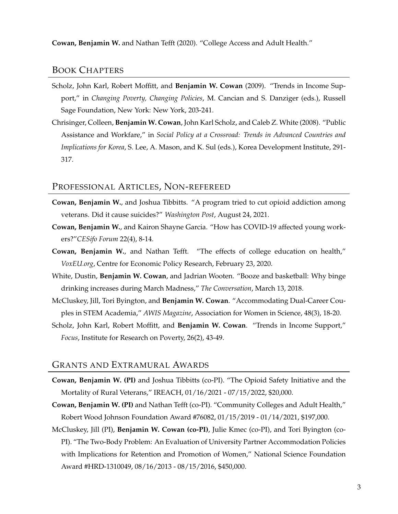**Cowan, Benjamin W.** and Nathan Tefft (2020). "College Access and Adult Health."

# BOOK CHAPTERS

- Scholz, John Karl, Robert Moffitt, and **Benjamin W. Cowan** (2009). "Trends in Income Support," in *Changing Poverty, Changing Policies*, M. Cancian and S. Danziger (eds.), Russell Sage Foundation, New York: New York, 203-241.
- Chrisinger, Colleen, **Benjamin W. Cowan**, John Karl Scholz, and Caleb Z. White (2008). "Public Assistance and Workfare," in *Social Policy at a Crossroad: Trends in Advanced Countries and Implications for Korea*, S. Lee, A. Mason, and K. Sul (eds.), Korea Development Institute, 291- 317.

### PROFESSIONAL ARTICLES, NON-REFEREED

- **Cowan, Benjamin W.**, and Joshua Tibbitts. "A program tried to cut opioid addiction among veterans. Did it cause suicides?" *Washington Post*, August 24, 2021.
- **Cowan, Benjamin W.**, and Kairon Shayne Garcia. "How has COVID-19 affected young workers?"*CESifo Forum* 22(4), 8-14.
- **Cowan, Benjamin W.**, and Nathan Tefft. "The effects of college education on health," *VoxEU.org*, Centre for Economic Policy Research, February 23, 2020.
- White, Dustin, **Benjamin W. Cowan**, and Jadrian Wooten. "Booze and basketball: Why binge drinking increases during March Madness," *The Conversation*, March 13, 2018.
- McCluskey, Jill, Tori Byington, and **Benjamin W. Cowan**. "Accommodating Dual-Career Couples in STEM Academia," *AWIS Magazine*, Association for Women in Science, 48(3), 18-20.
- Scholz, John Karl, Robert Moffitt, and **Benjamin W. Cowan**. "Trends in Income Support," *Focus*, Institute for Research on Poverty, 26(2), 43-49.

#### GRANTS AND EXTRAMURAL AWARDS

- **Cowan, Benjamin W. (PI)** and Joshua Tibbitts (co-PI). "The Opioid Safety Initiative and the Mortality of Rural Veterans," IREACH, 01/16/2021 - 07/15/2022, \$20,000.
- **Cowan, Benjamin W. (PI)** and Nathan Tefft (co-PI). "Community Colleges and Adult Health," Robert Wood Johnson Foundation Award #76082, 01/15/2019 - 01/14/2021, \$197,000.
- McCluskey, Jill (PI), **Benjamin W. Cowan (co-PI)**, Julie Kmec (co-PI), and Tori Byington (co-PI). "The Two-Body Problem: An Evaluation of University Partner Accommodation Policies with Implications for Retention and Promotion of Women," National Science Foundation Award #HRD-1310049, 08/16/2013 - 08/15/2016, \$450,000.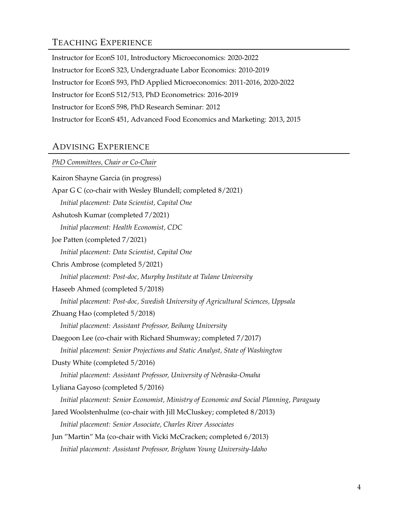# TEACHING EXPERIENCE

Instructor for EconS 101, Introductory Microeconomics: 2020-2022 Instructor for EconS 323, Undergraduate Labor Economics: 2010-2019 Instructor for EconS 593, PhD Applied Microeconomics: 2011-2016, 2020-2022 Instructor for EconS 512/513, PhD Econometrics: 2016-2019 Instructor for EconS 598, PhD Research Seminar: 2012 Instructor for EconS 451, Advanced Food Economics and Marketing: 2013, 2015

# ADVISING EXPERIENCE

# *PhD Committees, Chair or Co-Chair*

| Kairon Shayne Garcia (in progress)                                                      |
|-----------------------------------------------------------------------------------------|
| Apar G C (co-chair with Wesley Blundell; completed 8/2021)                              |
| Initial placement: Data Scientist, Capital One                                          |
| Ashutosh Kumar (completed 7/2021)                                                       |
| Initial placement: Health Economist, CDC                                                |
| Joe Patten (completed 7/2021)                                                           |
| Initial placement: Data Scientist, Capital One                                          |
| Chris Ambrose (completed 5/2021)                                                        |
| Initial placement: Post-doc, Murphy Institute at Tulane University                      |
| Haseeb Ahmed (completed 5/2018)                                                         |
| Initial placement: Post-doc, Swedish University of Agricultural Sciences, Uppsala       |
| Zhuang Hao (completed 5/2018)                                                           |
| Initial placement: Assistant Professor, Beihang University                              |
| Daegoon Lee (co-chair with Richard Shumway; completed 7/2017)                           |
| Initial placement: Senior Projections and Static Analyst, State of Washington           |
| Dusty White (completed 5/2016)                                                          |
| Initial placement: Assistant Professor, University of Nebraska-Omaha                    |
| Lyliana Gayoso (completed 5/2016)                                                       |
| Initial placement: Senior Economist, Ministry of Economic and Social Planning, Paraguay |
| Jared Woolstenhulme (co-chair with Jill McCluskey; completed 8/2013)                    |
| Initial placement: Senior Associate, Charles River Associates                           |
| Jun "Martin" Ma (co-chair with Vicki McCracken; completed 6/2013)                       |
| Initial placement: Assistant Professor, Brigham Young University-Idaho                  |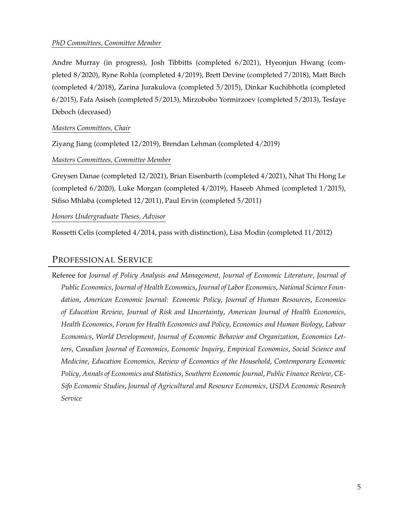### *PhD Committees, Committee Member*

Andre Murray (in progress), Josh Tibbitts (completed 6/2021), Hyeonjun Hwang (completed 8/2020), Ryne Rohla (completed 4/2019), Brett Devine (completed 7/2018), Matt Birch (completed 4/2018), Zarina Jurakulova (completed 5/2015), Dinkar Kuchibhotla (completed 6/2015), Fafa Asiseh (completed 5/2013), Mirzobobo Yormirzoev (completed 5/2013), Tesfaye Deboch (deceased)

### *Masters Committees, Chair*

Ziyang Jiang (completed 12/2019), Brendan Lehman (completed 4/2019)

### *Masters Committees, Committee Member*

Greysen Danae (completed 12/2021), Brian Eisenbarth (completed 4/2021), Nhat Thi Hong Le (completed 6/2020), Luke Morgan (completed 4/2019), Haseeb Ahmed (completed 1/2015), Sifiso Mhlaba (completed 12/2011), Paul Ervin (completed 5/2011)

### *Honors Undergraduate Theses, Advisor*

Rossetti Celis (completed 4/2014, pass with distinction), Lisa Modin (completed 11/2012)

# PROFESSIONAL SERVICE

Referee for *Journal of Policy Analysis and Management*, *Journal of Economic Literature*, *Journal of Public Economics*, *Journal of Health Economics*, *Journal of Labor Economics*, *National Science Foundation*, *American Economic Journal: Economic Policy*, *Journal of Human Resources*, *Economics of Education Review*, *Journal of Risk and Uncertainty*, *American Journal of Health Economics*, *Health Economics*, *Forum for Health Economics and Policy*, *Economics and Human Biology*, *Labour Economics*, *World Development*, *Journal of Economic Behavior and Organization*, *Economics Letters*, *Canadian Journal of Economics*, *Economic Inquiry*, *Empirical Economics*, *Social Science and Medicine*, *Education Economics*, *Review of Economics of the Household*, *Contemporary Economic Policy*, *Annals of Economics and Statistics*, *Southern Economic Journal*, *Public Finance Review*, *CE-Sifo Economic Studies*, *Journal of Agricultural and Resource Economics*, *USDA Economic Research Service*